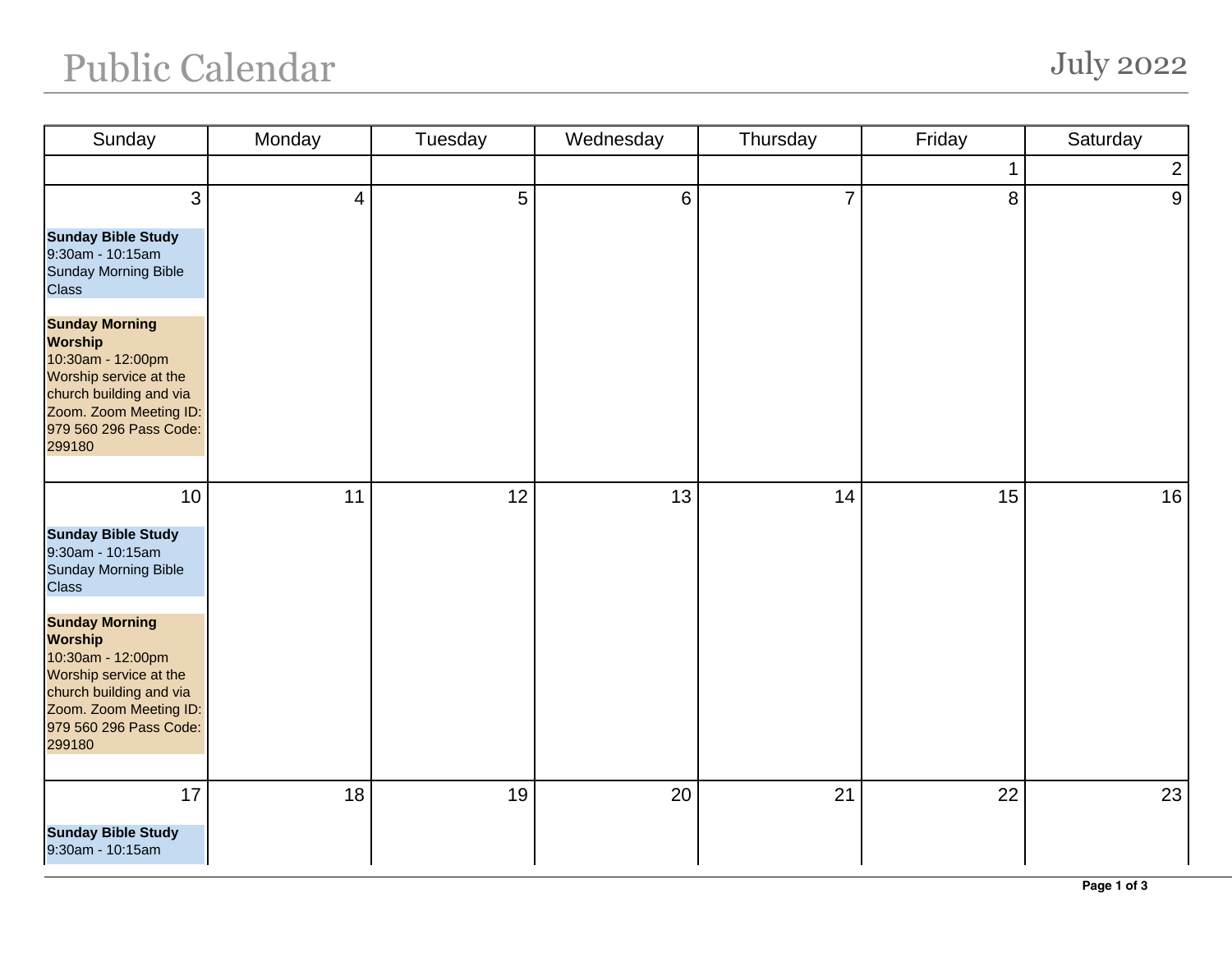## Public Calendar July 2022

| Sunday                                                                                                                                                                                                                                                                                | Monday         | Tuesday | Wednesday      | Thursday | Friday | Saturday       |
|---------------------------------------------------------------------------------------------------------------------------------------------------------------------------------------------------------------------------------------------------------------------------------------|----------------|---------|----------------|----------|--------|----------------|
|                                                                                                                                                                                                                                                                                       |                |         |                |          |        | $\overline{2}$ |
| 3<br><b>Sunday Bible Study</b><br>9:30am - 10:15am<br>Sunday Morning Bible                                                                                                                                                                                                            | $\overline{4}$ | 5       | $6\phantom{a}$ | 7        | 8      | 9              |
| <b>Class</b><br><b>Sunday Morning</b><br><b>Worship</b><br>10:30am - 12:00pm<br>Worship service at the<br>church building and via<br>Zoom. Zoom Meeting ID:<br>979 560 296 Pass Code:<br>299180                                                                                       |                |         |                |          |        |                |
| 10<br><b>Sunday Bible Study</b><br>9:30am - 10:15am<br><b>Sunday Morning Bible</b><br><b>Class</b><br><b>Sunday Morning</b><br><b>Worship</b><br>10:30am - 12:00pm<br>Worship service at the<br>church building and via<br>Zoom. Zoom Meeting ID:<br>979 560 296 Pass Code:<br>299180 | 11             | 12      | 13             | 14       | 15     | 16             |
| 17<br><b>Sunday Bible Study</b><br>9:30am - 10:15am                                                                                                                                                                                                                                   | 18             | 19      | 20             | 21       | 22     | 23             |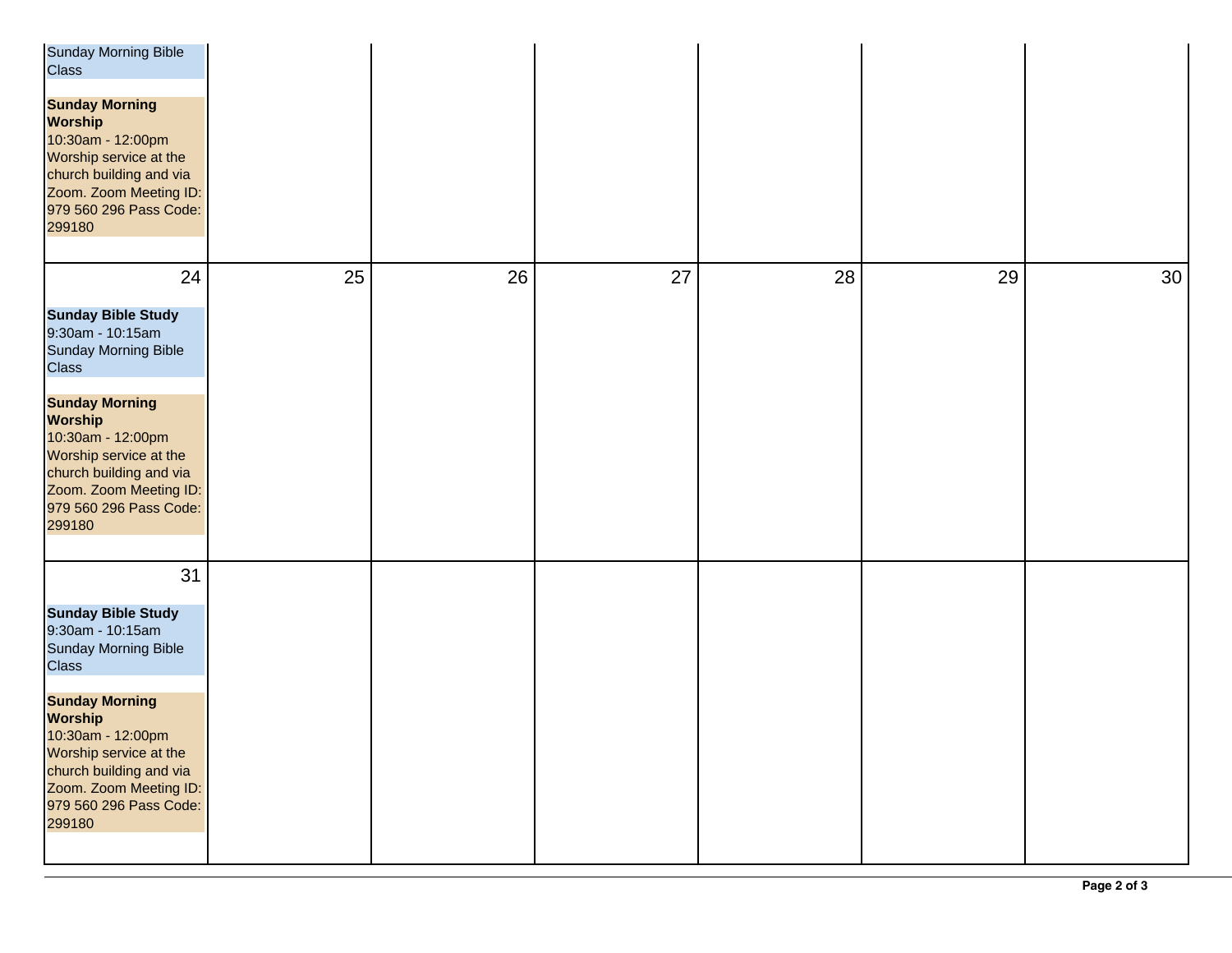| <b>Sunday Morning Bible</b><br>Class<br><b>Sunday Morning</b><br><b>Worship</b><br>10:30am - 12:00pm<br>Worship service at the<br>church building and via<br>Zoom. Zoom Meeting ID:<br>979 560 296 Pass Code:<br>299180 |    |    |    |    |    |    |
|-------------------------------------------------------------------------------------------------------------------------------------------------------------------------------------------------------------------------|----|----|----|----|----|----|
| 24<br><b>Sunday Bible Study</b><br>9:30am - 10:15am<br>Sunday Morning Bible<br><b>Class</b>                                                                                                                             | 25 | 26 | 27 | 28 | 29 | 30 |
| <b>Sunday Morning</b><br><b>Worship</b><br>10:30am - 12:00pm<br>Worship service at the<br>church building and via<br>Zoom. Zoom Meeting ID:<br>979 560 296 Pass Code:<br>299180                                         |    |    |    |    |    |    |
| 31<br><b>Sunday Bible Study</b><br>9:30am - 10:15am<br>Sunday Morning Bible<br><b>Class</b>                                                                                                                             |    |    |    |    |    |    |
| <b>Sunday Morning</b><br><b>Worship</b><br>10:30am - 12:00pm<br>Worship service at the<br>church building and via<br>Zoom. Zoom Meeting ID:<br>979 560 296 Pass Code:<br>299180                                         |    |    |    |    |    |    |